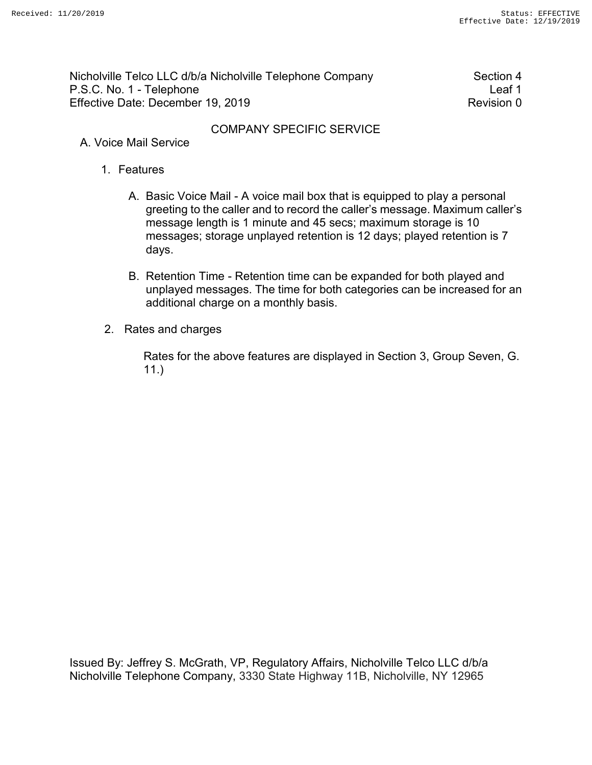Nicholville Telco LLC d/b/a Nicholville Telephone Company Section 4 P.S.C. No. 1 - Telephone Leaf 1 Effective Date: December 19, 2019 Revision 0

## COMPANY SPECIFIC SERVICE

- A. Voice Mail Service
	- 1. Features
		- A. Basic Voice Mail A voice mail box that is equipped to play a personal greeting to the caller and to record the caller's message. Maximum caller's message length is 1 minute and 45 secs; maximum storage is 10 messages; storage unplayed retention is 12 days; played retention is 7 days.
		- B. Retention Time Retention time can be expanded for both played and unplayed messages. The time for both categories can be increased for an additional charge on a monthly basis.
	- 2. Rates and charges

Rates for the above features are displayed in Section 3, Group Seven, G. 11.)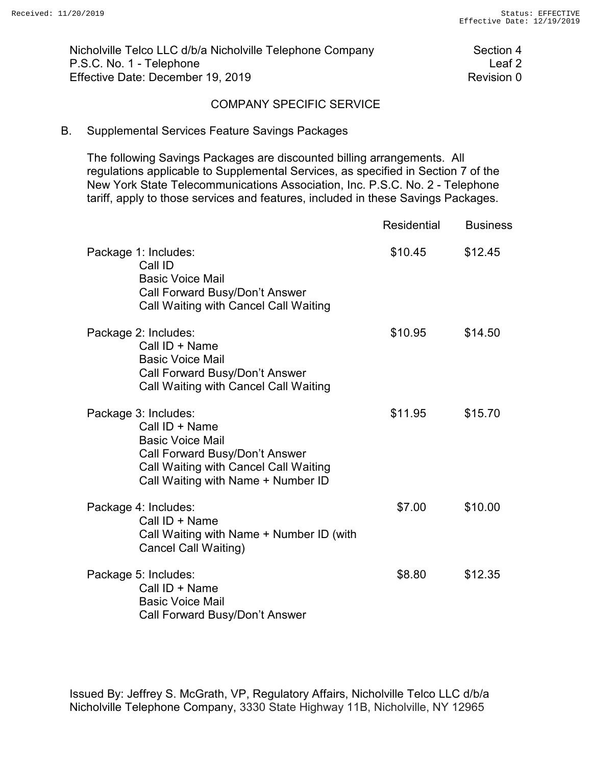Nicholville Telco LLC d/b/a Nicholville Telephone Company Section 4 P.S.C. No. 1 - Telephone Leaf 2<br>Effective Date: December 19, 2019 Effective Date: December 19, 2019

#### COMPANY SPECIFIC SERVICE

#### B. Supplemental Services Feature Savings Packages

The following Savings Packages are discounted billing arrangements. All regulations applicable to Supplemental Services, as specified in Section 7 of the New York State Telecommunications Association, Inc. P.S.C. No. 2 - Telephone tariff, apply to those services and features, included in these Savings Packages.

|                                                                                                                                                                                    | <b>Residential</b> | <b>Business</b> |
|------------------------------------------------------------------------------------------------------------------------------------------------------------------------------------|--------------------|-----------------|
| Package 1: Includes:<br>Call ID<br><b>Basic Voice Mail</b><br>Call Forward Busy/Don't Answer<br>Call Waiting with Cancel Call Waiting                                              | \$10.45            | \$12.45         |
| Package 2: Includes:<br>Call ID + Name<br><b>Basic Voice Mail</b><br>Call Forward Busy/Don't Answer<br>Call Waiting with Cancel Call Waiting                                       | \$10.95            | \$14.50         |
| Package 3: Includes:<br>Call ID + Name<br><b>Basic Voice Mail</b><br>Call Forward Busy/Don't Answer<br>Call Waiting with Cancel Call Waiting<br>Call Waiting with Name + Number ID | \$11.95            | \$15.70         |
| Package 4: Includes:<br>Call ID + Name<br>Call Waiting with Name + Number ID (with<br>Cancel Call Waiting)                                                                         | \$7.00             | \$10.00         |
| Package 5: Includes:<br>Call ID + Name<br><b>Basic Voice Mail</b><br>Call Forward Busy/Don't Answer                                                                                | \$8.80             | \$12.35         |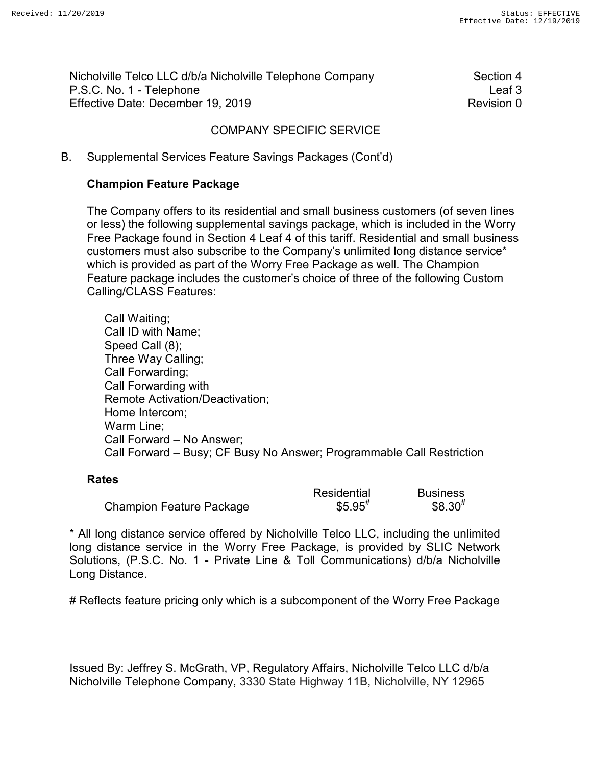Nicholville Telco LLC d/b/a Nicholville Telephone Company Section 4 P.S.C. No. 1 - Telephone Leaf 3 Effective Date: December 19, 2019 Revision 0

# COMPANY SPECIFIC SERVICE

## B. Supplemental Services Feature Savings Packages (Cont'd)

## **Champion Feature Package**

The Company offers to its residential and small business customers (of seven lines or less) the following supplemental savings package, which is included in the Worry Free Package found in Section 4 Leaf 4 of this tariff. Residential and small business customers must also subscribe to the Company's unlimited long distance service\* which is provided as part of the Worry Free Package as well. The Champion Feature package includes the customer's choice of three of the following Custom Calling/CLASS Features:

Call Waiting; Call ID with Name; Speed Call (8); Three Way Calling; Call Forwarding; Call Forwarding with Remote Activation/Deactivation; Home Intercom; Warm Line; Call Forward – No Answer; Call Forward – Busy; CF Busy No Answer; Programmable Call Restriction

#### **Rates**

|                          | Residential          | <b>Business</b> |
|--------------------------|----------------------|-----------------|
| Champion Feature Package | $$5.95$ <sup>#</sup> | $$8.30^{#}$     |

\* All long distance service offered by Nicholville Telco LLC, including the unlimited long distance service in the Worry Free Package, is provided by SLIC Network Solutions, (P.S.C. No. 1 - Private Line & Toll Communications) d/b/a Nicholville Long Distance.

# Reflects feature pricing only which is a subcomponent of the Worry Free Package